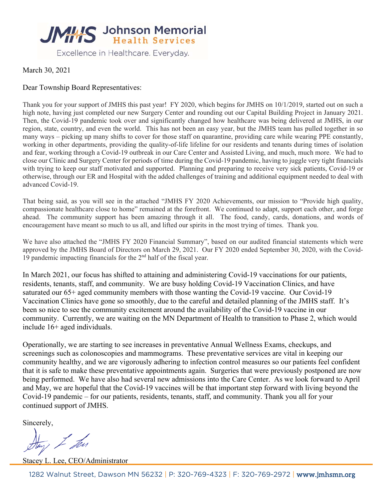

March 30, 2021

#### Dear Township Board Representatives:

Thank you for your support of JMHS this past year! FY 2020, which begins for JMHS on 10/1/2019, started out on such a high note, having just completed our new Surgery Center and rounding out our Capital Building Project in January 2021. Then, the Covid-19 pandemic took over and significantly changed how healthcare was being delivered at JMHS, in our region, state, country, and even the world. This has not been an easy year, but the JMHS team has pulled together in so many ways – picking up many shifts to cover for those staff on quarantine, providing care while wearing PPE constantly, working in other departments, providing the quality-of-life lifeline for our residents and tenants during times of isolation and fear, working through a Covid-19 outbreak in our Care Center and Assisted Living, and much, much more. We had to close our Clinic and Surgery Center for periods of time during the Covid-19 pandemic, having to juggle very tight financials with trying to keep our staff motivated and supported. Planning and preparing to receive very sick patients, Covid-19 or otherwise, through our ER and Hospital with the added challenges of training and additional equipment needed to deal with advanced Covid-19.

That being said, as you will see in the attached "JMHS FY 2020 Achievements, our mission to "Provide high quality, compassionate healthcare close to home" remained at the forefront. We continued to adapt, support each other, and forge ahead. The community support has been amazing through it all. The food, candy, cards, donations, and words of encouragement have meant so much to us all, and lifted our spirits in the most trying of times. Thank you.

We have also attached the "JMHS FY 2020 Financial Summary", based on our audited financial statements which were approved by the JMHS Board of Directors on March 29, 2021. Our FY 2020 ended September 30, 2020, with the Covid-19 pandemic impacting financials for the  $2<sup>nd</sup>$  half of the fiscal year.

In March 2021, our focus has shifted to attaining and administering Covid-19 vaccinations for our patients, residents, tenants, staff, and community. We are busy holding Covid-19 Vaccination Clinics, and have saturated our 65+ aged community members with those wanting the Covid-19 vaccine. Our Covid-19 Vaccination Clinics have gone so smoothly, due to the careful and detailed planning of the JMHS staff. It's been so nice to see the community excitement around the availability of the Covid-19 vaccine in our community. Currently, we are waiting on the MN Department of Health to transition to Phase 2, which would include 16+ aged individuals.

Operationally, we are starting to see increases in preventative Annual Wellness Exams, checkups, and screenings such as colonoscopies and mammograms. These preventative services are vital in keeping our community healthy, and we are vigorously adhering to infection control measures so our patients feel confident that it is safe to make these preventative appointments again. Surgeries that were previously postponed are now being performed. We have also had several new admissions into the Care Center. As we look forward to April and May, we are hopeful that the Covid-19 vaccines will be that important step forward with living beyond the Covid-19 pandemic – for our patients, residents, tenants, staff, and community. Thank you all for your continued support of JMHS.

Sincerely,

Hay I Ten

Stacey L. Lee, CEO/Administrator

1282 Walnut Street, Dawson MN 56232 | P: 320-769-4323 | F: 320-769-2972 | www.jmhsmn.org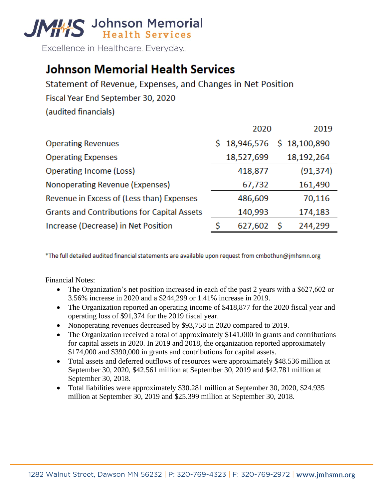

Excellence in Healthcare. Everyday.

## **Johnson Memorial Health Services**

Statement of Revenue, Expenses, and Changes in Net Position Fiscal Year End September 30, 2020 (audited financials)

|                                                    |    | 2020                     |    | 2019       |
|----------------------------------------------------|----|--------------------------|----|------------|
| <b>Operating Revenues</b>                          | Ś. | 18,946,576 \$ 18,100,890 |    |            |
| <b>Operating Expenses</b>                          |    | 18,527,699               |    | 18,192,264 |
| <b>Operating Income (Loss)</b>                     |    | 418,877                  |    | (91, 374)  |
| Nonoperating Revenue (Expenses)                    |    | 67,732                   |    | 161,490    |
| Revenue in Excess of (Less than) Expenses          |    | 486,609                  |    | 70,116     |
| <b>Grants and Contributions for Capital Assets</b> |    | 140,993                  |    | 174,183    |
| Increase (Decrease) in Net Position                | S  | 627,602                  | -S | 244,299    |

\*The full detailed audited financial statements are available upon request from cmbothun@jmhsmn.org

Financial Notes:

- The Organization's net position increased in each of the past 2 years with a \$627,602 or 3.56% increase in 2020 and a \$244,299 or 1.41% increase in 2019.
- The Organization reported an operating income of \$418,877 for the 2020 fiscal year and operating loss of \$91,374 for the 2019 fiscal year.
- Nonoperating revenues decreased by \$93,758 in 2020 compared to 2019.
- The Organization received a total of approximately \$141,000 in grants and contributions for capital assets in 2020. In 2019 and 2018, the organization reported approximately \$174,000 and \$390,000 in grants and contributions for capital assets.
- Total assets and deferred outflows of resources were approximately \$48.536 million at September 30, 2020, \$42.561 million at September 30, 2019 and \$42.781 million at September 30, 2018.
- Total liabilities were approximately \$30.281 million at September 30, 2020, \$24.935 million at September 30, 2019 and \$25.399 million at September 30, 2018.